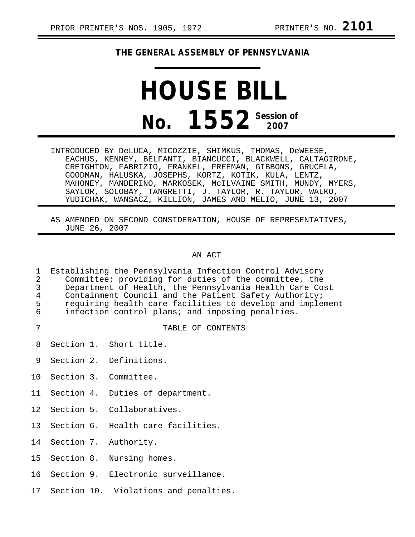## **THE GENERAL ASSEMBLY OF PENNSYLVANIA**

## **HOUSE BILL No. 1552** Session of

INTRODUCED BY DeLUCA, MICOZZIE, SHIMKUS, THOMAS, DeWEESE, EACHUS, KENNEY, BELFANTI, BIANCUCCI, BLACKWELL, CALTAGIRONE, CREIGHTON, FABRIZIO, FRANKEL, FREEMAN, GIBBONS, GRUCELA, GOODMAN, HALUSKA, JOSEPHS, KORTZ, KOTIK, KULA, LENTZ, MAHONEY, MANDERINO, MARKOSEK, McILVAINE SMITH, MUNDY, MYERS, SAYLOR, SOLOBAY, TANGRETTI, J. TAYLOR, R. TAYLOR, WALKO, YUDICHAK, WANSACZ, KILLION, JAMES AND MELIO, JUNE 13, 2007

AS AMENDED ON SECOND CONSIDERATION, HOUSE OF REPRESENTATIVES, JUNE 26, 2007

## AN ACT

| 1<br>$\overline{2}$<br>$\overline{3}$<br>$\begin{array}{c} 4 \\ 5 \\ 6 \end{array}$ | Establishing the Pennsylvania Infection Control Advisory<br>Committee; providing for duties of the committee, the<br>Department of Health, the Pennsylvania Health Care Cost<br>Containment Council and the Patient Safety Authority;<br>requiring health care facilities to develop and implement<br>infection control plans; and imposing penalties. |  |                                       |  |
|-------------------------------------------------------------------------------------|--------------------------------------------------------------------------------------------------------------------------------------------------------------------------------------------------------------------------------------------------------------------------------------------------------------------------------------------------------|--|---------------------------------------|--|
| 7                                                                                   |                                                                                                                                                                                                                                                                                                                                                        |  | TABLE OF CONTENTS                     |  |
| 8                                                                                   |                                                                                                                                                                                                                                                                                                                                                        |  | Section 1. Short title.               |  |
| 9                                                                                   |                                                                                                                                                                                                                                                                                                                                                        |  | Section 2. Definitions.               |  |
| 10 <sup>°</sup>                                                                     |                                                                                                                                                                                                                                                                                                                                                        |  | Section 3. Committee.                 |  |
| 11                                                                                  |                                                                                                                                                                                                                                                                                                                                                        |  | Section 4. Duties of department.      |  |
| 12 <sup>°</sup>                                                                     |                                                                                                                                                                                                                                                                                                                                                        |  | Section 5. Collaboratives.            |  |
| 13 <sup>°</sup>                                                                     |                                                                                                                                                                                                                                                                                                                                                        |  | Section 6. Health care facilities.    |  |
| 14                                                                                  |                                                                                                                                                                                                                                                                                                                                                        |  | Section 7. Authority.                 |  |
| 15 <sub>1</sub>                                                                     |                                                                                                                                                                                                                                                                                                                                                        |  | Section 8. Nursing homes.             |  |
| 16                                                                                  |                                                                                                                                                                                                                                                                                                                                                        |  | Section 9. Electronic surveillance.   |  |
| 17                                                                                  |                                                                                                                                                                                                                                                                                                                                                        |  | Section 10. Violations and penalties. |  |
|                                                                                     |                                                                                                                                                                                                                                                                                                                                                        |  |                                       |  |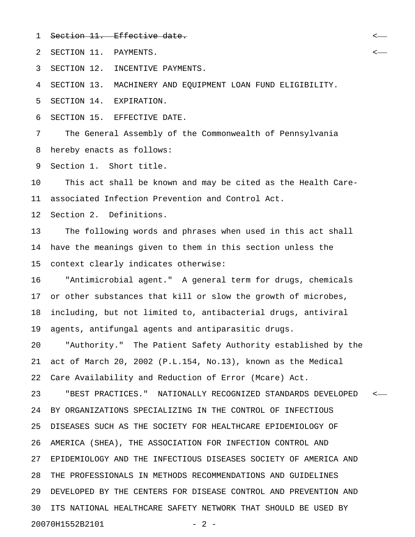1 Section 11. Effective date.

2 SECTION 11. PAYMENTS. <

3 SECTION 12. INCENTIVE PAYMENTS.

4 SECTION 13. MACHINERY AND EQUIPMENT LOAN FUND ELIGIBILITY.

5 SECTION 14. EXPIRATION.

6 SECTION 15. EFFECTIVE DATE.

7 The General Assembly of the Commonwealth of Pennsylvania 8 hereby enacts as follows:

9 Section 1. Short title.

10 This act shall be known and may be cited as the Health Care-11 associated Infection Prevention and Control Act.

12 Section 2. Definitions.

13 The following words and phrases when used in this act shall 14 have the meanings given to them in this section unless the 15 context clearly indicates otherwise:

16 "Antimicrobial agent." A general term for drugs, chemicals 17 or other substances that kill or slow the growth of microbes, 18 including, but not limited to, antibacterial drugs, antiviral 19 agents, antifungal agents and antiparasitic drugs.

20 "Authority." The Patient Safety Authority established by the 21 act of March 20, 2002 (P.L.154, No.13), known as the Medical 22 Care Availability and Reduction of Error (Mcare) Act.

23 "BEST PRACTICES." NATIONALLY RECOGNIZED STANDARDS DEVELOPED < 24 BY ORGANIZATIONS SPECIALIZING IN THE CONTROL OF INFECTIOUS 25 DISEASES SUCH AS THE SOCIETY FOR HEALTHCARE EPIDEMIOLOGY OF 26 AMERICA (SHEA), THE ASSOCIATION FOR INFECTION CONTROL AND 27 EPIDEMIOLOGY AND THE INFECTIOUS DISEASES SOCIETY OF AMERICA AND 28 THE PROFESSIONALS IN METHODS RECOMMENDATIONS AND GUIDELINES 29 DEVELOPED BY THE CENTERS FOR DISEASE CONTROL AND PREVENTION AND 30 ITS NATIONAL HEALTHCARE SAFETY NETWORK THAT SHOULD BE USED BY 20070H1552B2101 - 2 -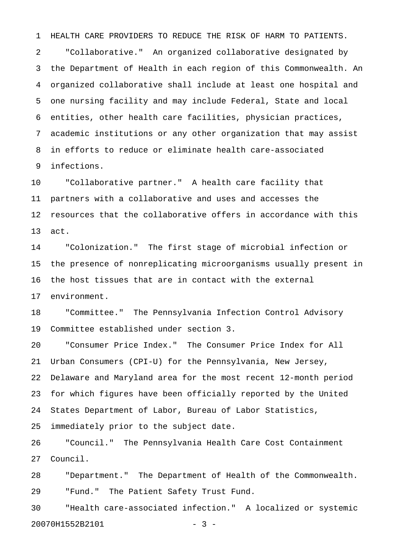1 HEALTH CARE PROVIDERS TO REDUCE THE RISK OF HARM TO PATIENTS.

2 "Collaborative." An organized collaborative designated by 3 the Department of Health in each region of this Commonwealth. An 4 organized collaborative shall include at least one hospital and 5 one nursing facility and may include Federal, State and local 6 entities, other health care facilities, physician practices, 7 academic institutions or any other organization that may assist 8 in efforts to reduce or eliminate health care-associated 9 infections.

10 "Collaborative partner." A health care facility that 11 partners with a collaborative and uses and accesses the 12 resources that the collaborative offers in accordance with this 13 act.

14 "Colonization." The first stage of microbial infection or 15 the presence of nonreplicating microorganisms usually present in 16 the host tissues that are in contact with the external 17 environment.

18 "Committee." The Pennsylvania Infection Control Advisory 19 Committee established under section 3.

20 "Consumer Price Index." The Consumer Price Index for All 21 Urban Consumers (CPI-U) for the Pennsylvania, New Jersey, 22 Delaware and Maryland area for the most recent 12-month period 23 for which figures have been officially reported by the United 24 States Department of Labor, Bureau of Labor Statistics, 25 immediately prior to the subject date.

26 "Council." The Pennsylvania Health Care Cost Containment 27 Council.

28 "Department." The Department of Health of the Commonwealth. 29 "Fund." The Patient Safety Trust Fund.

30 "Health care-associated infection." A localized or systemic 20070H1552B2101 - 3 -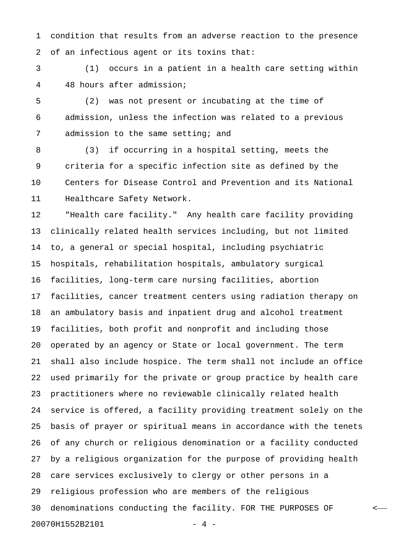1 condition that results from an adverse reaction to the presence 2 of an infectious agent or its toxins that:

3 (1) occurs in a patient in a health care setting within 4 48 hours after admission;

5 (2) was not present or incubating at the time of 6 admission, unless the infection was related to a previous 7 admission to the same setting; and

8 (3) if occurring in a hospital setting, meets the 9 criteria for a specific infection site as defined by the 10 Centers for Disease Control and Prevention and its National 11 Healthcare Safety Network.

12 "Health care facility." Any health care facility providing 13 clinically related health services including, but not limited 14 to, a general or special hospital, including psychiatric 15 hospitals, rehabilitation hospitals, ambulatory surgical 16 facilities, long-term care nursing facilities, abortion 17 facilities, cancer treatment centers using radiation therapy on 18 an ambulatory basis and inpatient drug and alcohol treatment 19 facilities, both profit and nonprofit and including those 20 operated by an agency or State or local government. The term 21 shall also include hospice. The term shall not include an office 22 used primarily for the private or group practice by health care 23 practitioners where no reviewable clinically related health 24 service is offered, a facility providing treatment solely on the 25 basis of prayer or spiritual means in accordance with the tenets 26 of any church or religious denomination or a facility conducted 27 by a religious organization for the purpose of providing health 28 care services exclusively to clergy or other persons in a 29 religious profession who are members of the religious 30 denominations conducting the facility. FOR THE PURPOSES OF < 20070H1552B2101 - 4 -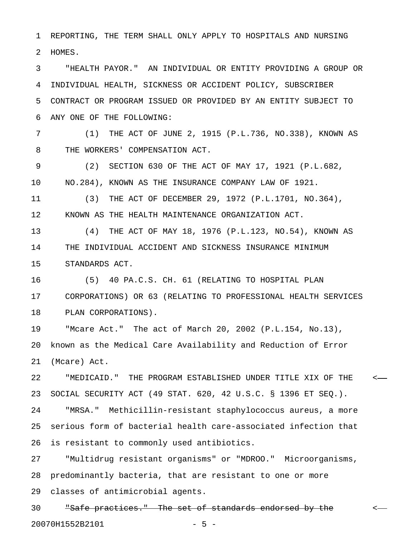1 REPORTING, THE TERM SHALL ONLY APPLY TO HOSPITALS AND NURSING 2 HOMES.

3 "HEALTH PAYOR." AN INDIVIDUAL OR ENTITY PROVIDING A GROUP OR 4 INDIVIDUAL HEALTH, SICKNESS OR ACCIDENT POLICY, SUBSCRIBER 5 CONTRACT OR PROGRAM ISSUED OR PROVIDED BY AN ENTITY SUBJECT TO 6 ANY ONE OF THE FOLLOWING:

7 (1) THE ACT OF JUNE 2, 1915 (P.L.736, NO.338), KNOWN AS 8 THE WORKERS' COMPENSATION ACT.

9 (2) SECTION 630 OF THE ACT OF MAY 17, 1921 (P.L.682, 10 NO.284), KNOWN AS THE INSURANCE COMPANY LAW OF 1921.

11 (3) THE ACT OF DECEMBER 29, 1972 (P.L.1701, NO.364), 12 KNOWN AS THE HEALTH MAINTENANCE ORGANIZATION ACT.

13 (4) THE ACT OF MAY 18, 1976 (P.L.123, NO.54), KNOWN AS 14 THE INDIVIDUAL ACCIDENT AND SICKNESS INSURANCE MINIMUM 15 STANDARDS ACT.

16 (5) 40 PA.C.S. CH. 61 (RELATING TO HOSPITAL PLAN 17 CORPORATIONS) OR 63 (RELATING TO PROFESSIONAL HEALTH SERVICES 18 PLAN CORPORATIONS).

19 "Mcare Act." The act of March 20, 2002 (P.L.154, No.13), 20 known as the Medical Care Availability and Reduction of Error 21 (Mcare) Act.

22 "MEDICAID." THE PROGRAM ESTABLISHED UNDER TITLE XIX OF THE < 23 SOCIAL SECURITY ACT (49 STAT. 620, 42 U.S.C. § 1396 ET SEQ.).

24 "MRSA." Methicillin-resistant staphylococcus aureus, a more 25 serious form of bacterial health care-associated infection that 26 is resistant to commonly used antibiotics.

27 "Multidrug resistant organisms" or "MDROO." Microorganisms, 28 predominantly bacteria, that are resistant to one or more 29 classes of antimicrobial agents.

30 "Safe practices." The set of standards endorsed by the < 20070H1552B2101 - 5 -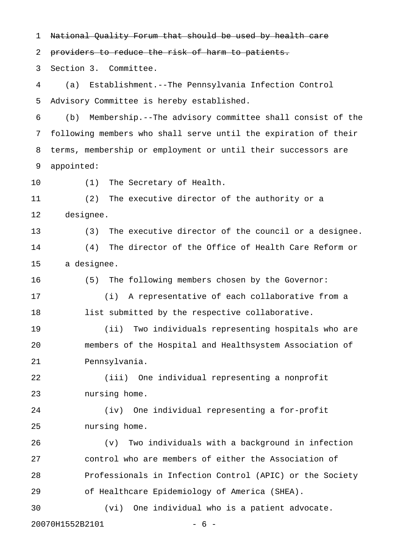1 National Quality Forum that should be used by health care

2 providers to reduce the risk of harm to patients.

3 Section 3. Committee.

4 (a) Establishment.--The Pennsylvania Infection Control 5 Advisory Committee is hereby established.

6 (b) Membership.--The advisory committee shall consist of the 7 following members who shall serve until the expiration of their 8 terms, membership or employment or until their successors are 9 appointed:

10 (1) The Secretary of Health.

11 (2) The executive director of the authority or a 12 designee.

13 (3) The executive director of the council or a designee. 14 (4) The director of the Office of Health Care Reform or 15 a designee.

16 (5) The following members chosen by the Governor:

17 (i) A representative of each collaborative from a 18 list submitted by the respective collaborative.

19 (ii) Two individuals representing hospitals who are 20 members of the Hospital and Healthsystem Association of 21 Pennsylvania.

22 (iii) One individual representing a nonprofit 23 nursing home.

24 (iv) One individual representing a for-profit 25 nursing home.

26 (v) Two individuals with a background in infection 27 control who are members of either the Association of 28 Professionals in Infection Control (APIC) or the Society 29 of Healthcare Epidemiology of America (SHEA).

30 (vi) One individual who is a patient advocate.

20070H1552B2101 - 6 -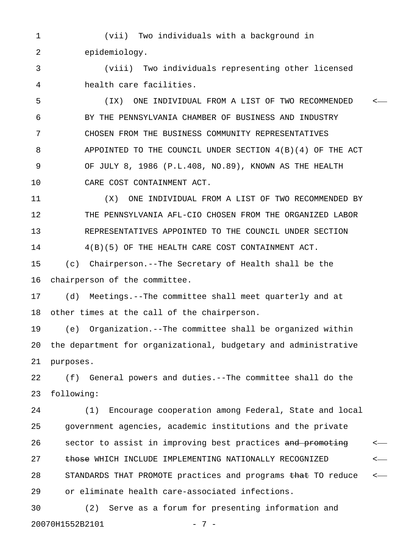1 (vii) Two individuals with a background in 2 epidemiology.

3 (viii) Two individuals representing other licensed 4 health care facilities.

5 (IX) ONE INDIVIDUAL FROM A LIST OF TWO RECOMMENDED < 6 BY THE PENNSYLVANIA CHAMBER OF BUSINESS AND INDUSTRY 7 CHOSEN FROM THE BUSINESS COMMUNITY REPRESENTATIVES 8 APPOINTED TO THE COUNCIL UNDER SECTION 4(B)(4) OF THE ACT 9 OF JULY 8, 1986 (P.L.408, NO.89), KNOWN AS THE HEALTH 10 CARE COST CONTAINMENT ACT.

11 (X) ONE INDIVIDUAL FROM A LIST OF TWO RECOMMENDED BY 12 THE PENNSYLVANIA AFL-CIO CHOSEN FROM THE ORGANIZED LABOR 13 REPRESENTATIVES APPOINTED TO THE COUNCIL UNDER SECTION 14 4(B)(5) OF THE HEALTH CARE COST CONTAINMENT ACT.

15 (c) Chairperson.--The Secretary of Health shall be the 16 chairperson of the committee.

17 (d) Meetings.--The committee shall meet quarterly and at 18 other times at the call of the chairperson.

19 (e) Organization.--The committee shall be organized within 20 the department for organizational, budgetary and administrative 21 purposes.

22 (f) General powers and duties.--The committee shall do the 23 following:

24 (1) Encourage cooperation among Federal, State and local 25 government agencies, academic institutions and the private 26 sector to assist in improving best practices and promoting  $\sim$ 27 those WHICH INCLUDE IMPLEMENTING NATIONALLY RECOGNIZED  $\leftarrow$ 28 STANDARDS THAT PROMOTE practices and programs that TO reduce  $\leftarrow$ 29 or eliminate health care-associated infections.

30 (2) Serve as a forum for presenting information and 20070H1552B2101 - 7 -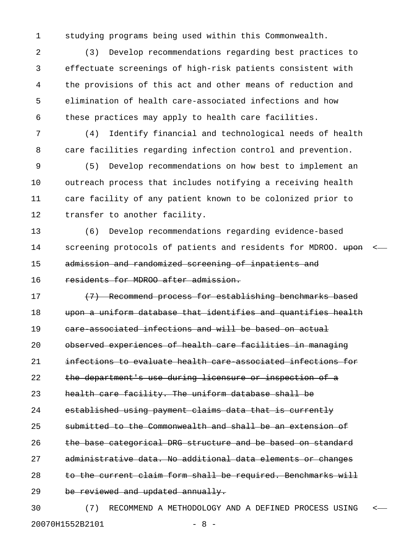1 studying programs being used within this Commonwealth.

2 (3) Develop recommendations regarding best practices to 3 effectuate screenings of high-risk patients consistent with 4 the provisions of this act and other means of reduction and 5 elimination of health care-associated infections and how 6 these practices may apply to health care facilities.

7 (4) Identify financial and technological needs of health 8 care facilities regarding infection control and prevention.

9 (5) Develop recommendations on how best to implement an 10 outreach process that includes notifying a receiving health 11 care facility of any patient known to be colonized prior to 12 transfer to another facility.

13 (6) Develop recommendations regarding evidence-based 14 screening protocols of patients and residents for MDROO. upon <-15 admission and randomized screening of inpatients and

16 residents for MDROO after admission.

17 (7) Recommend process for establishing benchmarks based 18 upon a uniform database that identifies and quantifies health 19 care-associated infections and will be based on actual 20 observed experiences of health care facilities in managing 21 infections to evaluate health care-associated infections for 22 the department's use during licensure or inspection of a 23 health care facility. The uniform database shall be 24 established using payment claims data that is currently 25 submitted to the Commonwealth and shall be an extension of 26 the base categorical DRG structure and be based on standard 27 administrative data. No additional data elements or changes 28 to the current claim form shall be required. Benchmarks will 29 be reviewed and updated annually.

30 (7) RECOMMEND A METHODOLOGY AND A DEFINED PROCESS USING < 20070H1552B2101 - 8 -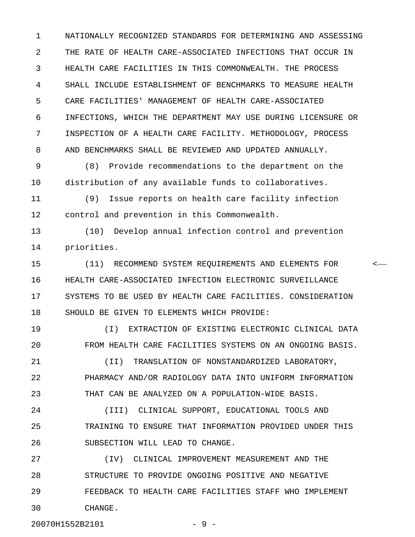1 NATIONALLY RECOGNIZED STANDARDS FOR DETERMINING AND ASSESSING 2 THE RATE OF HEALTH CARE-ASSOCIATED INFECTIONS THAT OCCUR IN 3 HEALTH CARE FACILITIES IN THIS COMMONWEALTH. THE PROCESS 4 SHALL INCLUDE ESTABLISHMENT OF BENCHMARKS TO MEASURE HEALTH 5 CARE FACILITIES' MANAGEMENT OF HEALTH CARE-ASSOCIATED 6 INFECTIONS, WHICH THE DEPARTMENT MAY USE DURING LICENSURE OR 7 INSPECTION OF A HEALTH CARE FACILITY. METHODOLOGY, PROCESS 8 AND BENCHMARKS SHALL BE REVIEWED AND UPDATED ANNUALLY.

9 (8) Provide recommendations to the department on the 10 distribution of any available funds to collaboratives.

11 (9) Issue reports on health care facility infection 12 control and prevention in this Commonwealth.

13 (10) Develop annual infection control and prevention 14 priorities.

15 (11) RECOMMEND SYSTEM REQUIREMENTS AND ELEMENTS FOR < 16 HEALTH CARE-ASSOCIATED INFECTION ELECTRONIC SURVEILLANCE 17 SYSTEMS TO BE USED BY HEALTH CARE FACILITIES. CONSIDERATION 18 SHOULD BE GIVEN TO ELEMENTS WHICH PROVIDE:

19 (I) EXTRACTION OF EXISTING ELECTRONIC CLINICAL DATA 20 FROM HEALTH CARE FACILITIES SYSTEMS ON AN ONGOING BASIS. 21 (II) TRANSLATION OF NONSTANDARDIZED LABORATORY,

22 PHARMACY AND/OR RADIOLOGY DATA INTO UNIFORM INFORMATION 23 THAT CAN BE ANALYZED ON A POPULATION-WIDE BASIS.

24 (III) CLINICAL SUPPORT, EDUCATIONAL TOOLS AND 25 TRAINING TO ENSURE THAT INFORMATION PROVIDED UNDER THIS 26 SUBSECTION WILL LEAD TO CHANGE.

27 (IV) CLINICAL IMPROVEMENT MEASUREMENT AND THE 28 STRUCTURE TO PROVIDE ONGOING POSITIVE AND NEGATIVE 29 FEEDBACK TO HEALTH CARE FACILITIES STAFF WHO IMPLEMENT 30 CHANGE.

20070H1552B2101 - 9 -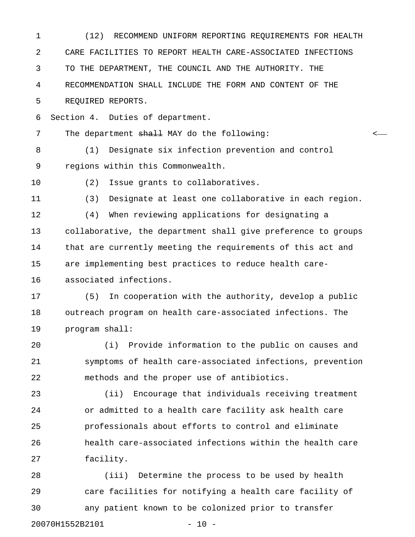1 (12) RECOMMEND UNIFORM REPORTING REQUIREMENTS FOR HEALTH 2 CARE FACILITIES TO REPORT HEALTH CARE-ASSOCIATED INFECTIONS 3 TO THE DEPARTMENT, THE COUNCIL AND THE AUTHORITY. THE 4 RECOMMENDATION SHALL INCLUDE THE FORM AND CONTENT OF THE 5 REQUIRED REPORTS. 6 Section 4. Duties of department. 7 The department <del>shall</del> MAY do the following: <-8 (1) Designate six infection prevention and control 9 regions within this Commonwealth. 10 (2) Issue grants to collaboratives. 11 (3) Designate at least one collaborative in each region. 12 (4) When reviewing applications for designating a 13 collaborative, the department shall give preference to groups 14 that are currently meeting the requirements of this act and 15 are implementing best practices to reduce health care-16 associated infections. 17 (5) In cooperation with the authority, develop a public 18 outreach program on health care-associated infections. The 19 program shall: 20 (i) Provide information to the public on causes and 21 symptoms of health care-associated infections, prevention 22 methods and the proper use of antibiotics. 23 (ii) Encourage that individuals receiving treatment 24 or admitted to a health care facility ask health care 25 professionals about efforts to control and eliminate 26 health care-associated infections within the health care 27 facility. 28 (iii) Determine the process to be used by health 29 care facilities for notifying a health care facility of 30 any patient known to be colonized prior to transfer

20070H1552B2101 - 10 -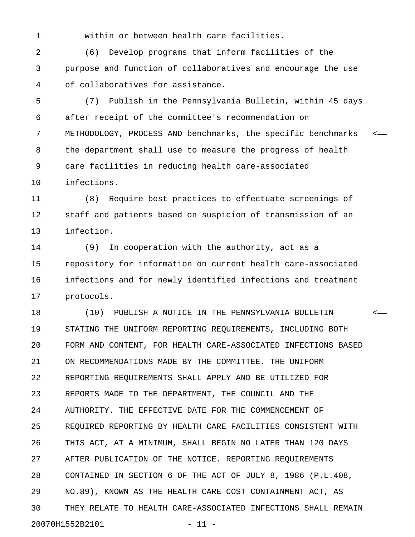1 within or between health care facilities.

2 (6) Develop programs that inform facilities of the 3 purpose and function of collaboratives and encourage the use 4 of collaboratives for assistance.

5 (7) Publish in the Pennsylvania Bulletin, within 45 days 6 after receipt of the committee's recommendation on 7 METHODOLOGY, PROCESS AND benchmarks, the specific benchmarks < 8 the department shall use to measure the progress of health 9 care facilities in reducing health care-associated 10 infections.

11 (8) Require best practices to effectuate screenings of 12 staff and patients based on suspicion of transmission of an 13 infection.

14 (9) In cooperation with the authority, act as a 15 repository for information on current health care-associated 16 infections and for newly identified infections and treatment 17 protocols.

18 (10) PUBLISH A NOTICE IN THE PENNSYLVANIA BULLETIN < 19 STATING THE UNIFORM REPORTING REQUIREMENTS, INCLUDING BOTH 20 FORM AND CONTENT, FOR HEALTH CARE-ASSOCIATED INFECTIONS BASED 21 ON RECOMMENDATIONS MADE BY THE COMMITTEE. THE UNIFORM 22 REPORTING REQUIREMENTS SHALL APPLY AND BE UTILIZED FOR 23 REPORTS MADE TO THE DEPARTMENT, THE COUNCIL AND THE 24 AUTHORITY. THE EFFECTIVE DATE FOR THE COMMENCEMENT OF 25 REQUIRED REPORTING BY HEALTH CARE FACILITIES CONSISTENT WITH 26 THIS ACT, AT A MINIMUM, SHALL BEGIN NO LATER THAN 120 DAYS 27 AFTER PUBLICATION OF THE NOTICE. REPORTING REQUIREMENTS 28 CONTAINED IN SECTION 6 OF THE ACT OF JULY 8, 1986 (P.L.408, 29 NO.89), KNOWN AS THE HEALTH CARE COST CONTAINMENT ACT, AS 30 THEY RELATE TO HEALTH CARE-ASSOCIATED INFECTIONS SHALL REMAIN 20070H1552B2101 - 11 -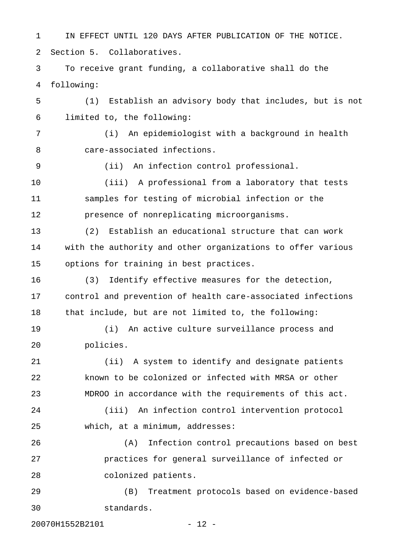1 IN EFFECT UNTIL 120 DAYS AFTER PUBLICATION OF THE NOTICE. 2 Section 5. Collaboratives. 3 To receive grant funding, a collaborative shall do the 4 following: 5 (1) Establish an advisory body that includes, but is not 6 limited to, the following: 7 (i) An epidemiologist with a background in health 8 care-associated infections. 9 (ii) An infection control professional. 10 (iii) A professional from a laboratory that tests 11 samples for testing of microbial infection or the 12 presence of nonreplicating microorganisms. 13 (2) Establish an educational structure that can work 14 with the authority and other organizations to offer various 15 options for training in best practices. 16 (3) Identify effective measures for the detection, 17 control and prevention of health care-associated infections 18 that include, but are not limited to, the following: 19 (i) An active culture surveillance process and 20 policies. 21 (ii) A system to identify and designate patients 22 known to be colonized or infected with MRSA or other 23 MDROO in accordance with the requirements of this act. 24 (iii) An infection control intervention protocol 25 which, at a minimum, addresses: 26 (A) Infection control precautions based on best 27 practices for general surveillance of infected or 28 colonized patients. 29 (B) Treatment protocols based on evidence-based 30 standards.

20070H1552B2101 - 12 -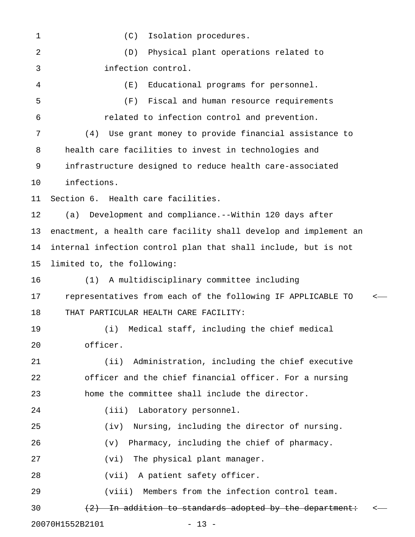1 (C) Isolation procedures. 2 (D) Physical plant operations related to 3 infection control. 4 (E) Educational programs for personnel. 5 (F) Fiscal and human resource requirements 6 related to infection control and prevention. 7 (4) Use grant money to provide financial assistance to 8 health care facilities to invest in technologies and 9 infrastructure designed to reduce health care-associated 10 infections. 11 Section 6. Health care facilities. 12 (a) Development and compliance.--Within 120 days after 13 enactment, a health care facility shall develop and implement an 14 internal infection control plan that shall include, but is not 15 limited to, the following: 16 (1) A multidisciplinary committee including 17 representatives from each of the following IF APPLICABLE TO < 18 THAT PARTICULAR HEALTH CARE FACILITY: 19 (i) Medical staff, including the chief medical 20 officer. 21 (ii) Administration, including the chief executive 22 officer and the chief financial officer. For a nursing 23 home the committee shall include the director. 24 (iii) Laboratory personnel. 25 (iv) Nursing, including the director of nursing. 26 (v) Pharmacy, including the chief of pharmacy. 27 (vi) The physical plant manager. 28 (vii) A patient safety officer. 29 (viii) Members from the infection control team. 30  $(2)$  In addition to standards adopted by the department:  $\longleftarrow$ 20070H1552B2101 - 13 -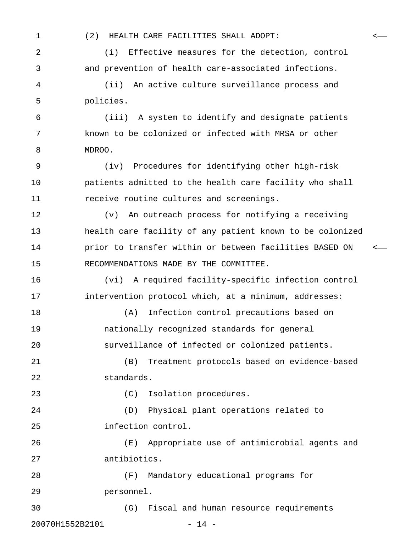1 (2) HEALTH CARE FACILITIES SHALL ADOPT: <

2 (i) Effective measures for the detection, control 3 and prevention of health care-associated infections.

4 (ii) An active culture surveillance process and 5 policies.

6 (iii) A system to identify and designate patients 7 known to be colonized or infected with MRSA or other 8 MDROO.

9 (iv) Procedures for identifying other high-risk 10 patients admitted to the health care facility who shall 11 receive routine cultures and screenings.

12 (v) An outreach process for notifying a receiving 13 health care facility of any patient known to be colonized 14 **prior to transfer within or between facilities BASED ON** <-15 RECOMMENDATIONS MADE BY THE COMMITTEE.

16 (vi) A required facility-specific infection control 17 intervention protocol which, at a minimum, addresses:

18 (A) Infection control precautions based on 19 nationally recognized standards for general 20 surveillance of infected or colonized patients.

21 (B) Treatment protocols based on evidence-based 22 standards.

23 (C) Isolation procedures.

24 (D) Physical plant operations related to 25 infection control.

26 (E) Appropriate use of antimicrobial agents and 27 antibiotics.

28 (F) Mandatory educational programs for 29 personnel.

30 (G) Fiscal and human resource requirements 20070H1552B2101 - 14 -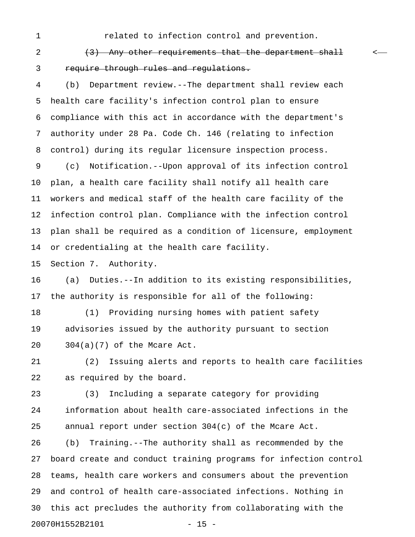1 related to infection control and prevention.

2 (3) Any other requirements that the department shall  $\leftarrow$ 3 require through rules and regulations.

4 (b) Department review.--The department shall review each 5 health care facility's infection control plan to ensure 6 compliance with this act in accordance with the department's 7 authority under 28 Pa. Code Ch. 146 (relating to infection 8 control) during its regular licensure inspection process.

9 (c) Notification.--Upon approval of its infection control 10 plan, a health care facility shall notify all health care 11 workers and medical staff of the health care facility of the 12 infection control plan. Compliance with the infection control 13 plan shall be required as a condition of licensure, employment 14 or credentialing at the health care facility.

15 Section 7. Authority.

16 (a) Duties.--In addition to its existing responsibilities, 17 the authority is responsible for all of the following:

18 (1) Providing nursing homes with patient safety 19 advisories issued by the authority pursuant to section 20 304(a)(7) of the Mcare Act.

21 (2) Issuing alerts and reports to health care facilities 22 as required by the board.

23 (3) Including a separate category for providing 24 information about health care-associated infections in the 25 annual report under section 304(c) of the Mcare Act.

26 (b) Training.--The authority shall as recommended by the 27 board create and conduct training programs for infection control 28 teams, health care workers and consumers about the prevention 29 and control of health care-associated infections. Nothing in 30 this act precludes the authority from collaborating with the 20070H1552B2101 - 15 -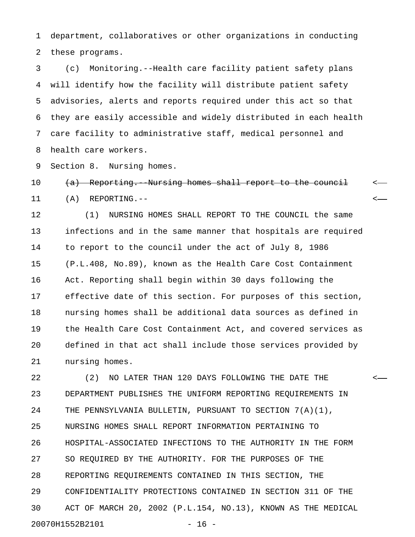1 department, collaboratives or other organizations in conducting 2 these programs.

3 (c) Monitoring.--Health care facility patient safety plans 4 will identify how the facility will distribute patient safety 5 advisories, alerts and reports required under this act so that 6 they are easily accessible and widely distributed in each health 7 care facility to administrative staff, medical personnel and 8 health care workers.

9 Section 8. Nursing homes.

10 (a) Reporting. Nursing homes shall report to the council <-11 (A) REPORTING.-- <

12 (1) NURSING HOMES SHALL REPORT TO THE COUNCIL the same 13 infections and in the same manner that hospitals are required 14 to report to the council under the act of July 8, 1986 15 (P.L.408, No.89), known as the Health Care Cost Containment 16 Act. Reporting shall begin within 30 days following the 17 effective date of this section. For purposes of this section, 18 nursing homes shall be additional data sources as defined in 19 the Health Care Cost Containment Act, and covered services as 20 defined in that act shall include those services provided by 21 nursing homes.

22 (2) NO LATER THAN 120 DAYS FOLLOWING THE DATE THE < 23 DEPARTMENT PUBLISHES THE UNIFORM REPORTING REQUIREMENTS IN 24 THE PENNSYLVANIA BULLETIN, PURSUANT TO SECTION 7(A)(1), 25 NURSING HOMES SHALL REPORT INFORMATION PERTAINING TO 26 HOSPITAL-ASSOCIATED INFECTIONS TO THE AUTHORITY IN THE FORM 27 SO REQUIRED BY THE AUTHORITY. FOR THE PURPOSES OF THE 28 REPORTING REQUIREMENTS CONTAINED IN THIS SECTION, THE 29 CONFIDENTIALITY PROTECTIONS CONTAINED IN SECTION 311 OF THE 30 ACT OF MARCH 20, 2002 (P.L.154, NO.13), KNOWN AS THE MEDICAL 20070H1552B2101 - 16 -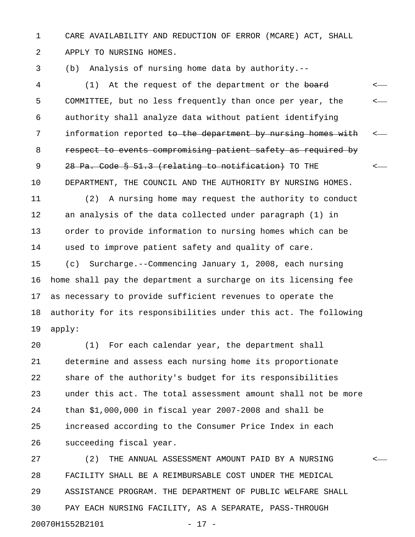1 CARE AVAILABILITY AND REDUCTION OF ERROR (MCARE) ACT, SHALL 2 APPLY TO NURSING HOMES.

3 (b) Analysis of nursing home data by authority.--

4 (1) At the request of the department or the <del>board</del> <-5 COMMITTEE, but no less frequently than once per year, the < 6 authority shall analyze data without patient identifying 7 information reported to the department by nursing homes with <-8 respect to events compromising patient safety as required by 9 28 Pa. Code § 51.3 (relating to notification) TO THE  $\leftarrow$ 10 DEPARTMENT, THE COUNCIL AND THE AUTHORITY BY NURSING HOMES.

11 (2) A nursing home may request the authority to conduct 12 an analysis of the data collected under paragraph (1) in 13 order to provide information to nursing homes which can be 14 used to improve patient safety and quality of care. 15 (c) Surcharge.--Commencing January 1, 2008, each nursing 16 home shall pay the department a surcharge on its licensing fee 17 as necessary to provide sufficient revenues to operate the 18 authority for its responsibilities under this act. The following 19 apply:

20 (1) For each calendar year, the department shall 21 determine and assess each nursing home its proportionate 22 share of the authority's budget for its responsibilities 23 under this act. The total assessment amount shall not be more 24 than \$1,000,000 in fiscal year 2007-2008 and shall be 25 increased according to the Consumer Price Index in each 26 succeeding fiscal year.

27 (2) THE ANNUAL ASSESSMENT AMOUNT PAID BY A NURSING < 28 FACILITY SHALL BE A REIMBURSABLE COST UNDER THE MEDICAL 29 ASSISTANCE PROGRAM. THE DEPARTMENT OF PUBLIC WELFARE SHALL 30 PAY EACH NURSING FACILITY, AS A SEPARATE, PASS-THROUGH 20070H1552B2101 - 17 -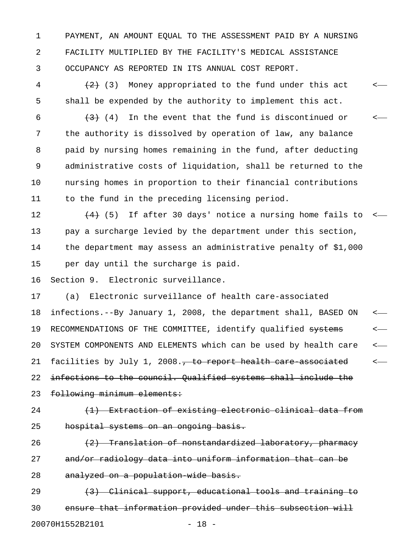1 PAYMENT, AN AMOUNT EQUAL TO THE ASSESSMENT PAID BY A NURSING 2 FACILITY MULTIPLIED BY THE FACILITY'S MEDICAL ASSISTANCE 3 OCCUPANCY AS REPORTED IN ITS ANNUAL COST REPORT.

4  $(2)$  (3) Money appropriated to the fund under this act  $\leq$ 5 shall be expended by the authority to implement this act.

6  $(3)$  (4) In the event that the fund is discontinued or  $\leftarrow$ 7 the authority is dissolved by operation of law, any balance 8 paid by nursing homes remaining in the fund, after deducting 9 administrative costs of liquidation, shall be returned to the 10 nursing homes in proportion to their financial contributions 11 to the fund in the preceding licensing period.

12  $(4)$  (5) If after 30 days' notice a nursing home fails to  $\leq$ 13 pay a surcharge levied by the department under this section, 14 the department may assess an administrative penalty of \$1,000 15 per day until the surcharge is paid.

16 Section 9. Electronic surveillance.

17 (a) Electronic surveillance of health care-associated 18 infections.--By January 1, 2008, the department shall, BASED ON < 19 RECOMMENDATIONS OF THE COMMITTEE, identify qualified systems <-20 SYSTEM COMPONENTS AND ELEMENTS which can be used by health care < 21 facilities by July 1, 2008., to report health care associated <-22 infections to the council. Qualified systems shall include the 23 following minimum elements:

24 (1) Extraction of existing electronic clinical data from 25 hospital systems on an ongoing basis.

26  $\left(2\right)$  Translation of nonstandardized laboratory, pharmacy 27 and/or radiology data into uniform information that can be 28 analyzed on a population wide basis.

29 (3) Clinical support, educational tools and training to 30 ensure that information provided under this subsection will 20070H1552B2101 - 18 -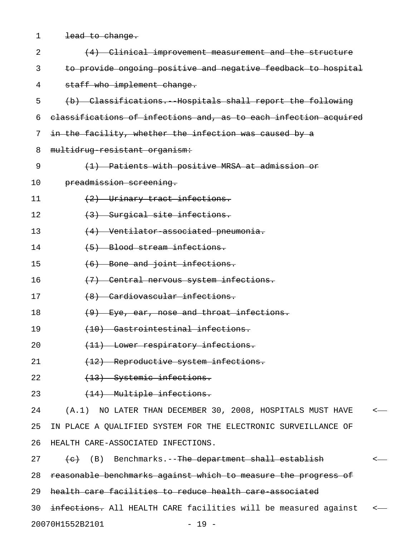| $\mathbf 1$ | lead to change.                                                  |         |  |  |  |
|-------------|------------------------------------------------------------------|---------|--|--|--|
| 2           | (4) Clinical improvement measurement and the structure           |         |  |  |  |
| 3           | to provide ongoing positive and negative feedback to hospital    |         |  |  |  |
| 4           | staff who implement change.                                      |         |  |  |  |
| 5           | (b) Classifications. Hospitals shall report the following        |         |  |  |  |
| 6           | classifications of infections and, as to each infection acquired |         |  |  |  |
| 7           | in the facility, whether the infection was caused by a           |         |  |  |  |
| 8           | multidrug resistant organism:                                    |         |  |  |  |
| 9           | (1) Patients with positive MRSA at admission or                  |         |  |  |  |
| 10          | preadmission screening.                                          |         |  |  |  |
| 11          | (2) Urinary tract infections.                                    |         |  |  |  |
| 12          | (3) Surgical site infections.                                    |         |  |  |  |
| 13          | $(4)$ Ventilator associated pneumonia.                           |         |  |  |  |
| 14          | (5) Blood stream infections.                                     |         |  |  |  |
| 15          | $(6)$ Bone and joint infections.                                 |         |  |  |  |
| 16          | (7) Central nervous system infections.                           |         |  |  |  |
| 17          | (8) Cardiovascular infections.                                   |         |  |  |  |
| 18          | $(9)$ Eye, ear, nose and throat infections.                      |         |  |  |  |
| 19          | (10) Gastrointestinal infections.                                |         |  |  |  |
| 20          | (11) Lower respiratory infections.                               |         |  |  |  |
| 21          | (12) Reproductive system infections.                             |         |  |  |  |
| 22          | (13) Systemic infections.                                        |         |  |  |  |
| 23          | (14) Multiple infections.                                        |         |  |  |  |
| 24          | (A.1) NO LATER THAN DECEMBER 30, 2008, HOSPITALS MUST HAVE       | $\,<\,$ |  |  |  |
| 25          | IN PLACE A QUALIFIED SYSTEM FOR THE ELECTRONIC SURVEILLANCE OF   |         |  |  |  |
| 26          | HEALTH CARE-ASSOCIATED INFECTIONS.                               |         |  |  |  |
| 27          | (e) (B) Benchmarks.-- <del>The department shall establish</del>  |         |  |  |  |
| 28          | reasonable benchmarks against which to measure the progress of   |         |  |  |  |
| 29          | health care facilities to reduce health care associated          |         |  |  |  |
| 30          | infections. All HEALTH CARE facilities will be measured against  | $\,<\,$ |  |  |  |
|             | 20070H1552B2101<br>$-19 -$                                       |         |  |  |  |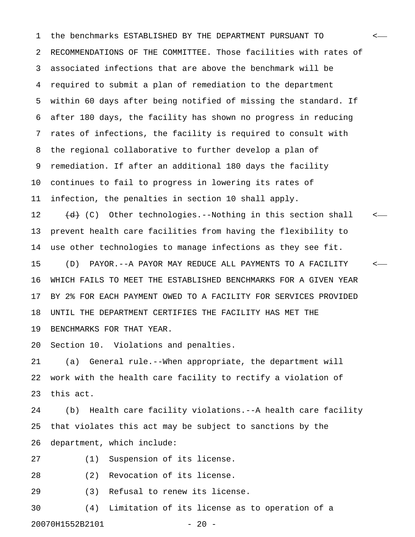1 the benchmarks ESTABLISHED BY THE DEPARTMENT PURSUANT TO < 2 RECOMMENDATIONS OF THE COMMITTEE. Those facilities with rates of 3 associated infections that are above the benchmark will be 4 required to submit a plan of remediation to the department 5 within 60 days after being notified of missing the standard. If 6 after 180 days, the facility has shown no progress in reducing 7 rates of infections, the facility is required to consult with 8 the regional collaborative to further develop a plan of 9 remediation. If after an additional 180 days the facility 10 continues to fail to progress in lowering its rates of 11 infection, the penalties in section 10 shall apply. 12  $(d)$  (C) Other technologies.--Nothing in this section shall  $\leq$ 13 prevent health care facilities from having the flexibility to 14 use other technologies to manage infections as they see fit. 15 (D) PAYOR.--A PAYOR MAY REDUCE ALL PAYMENTS TO A FACILITY < 16 WHICH FAILS TO MEET THE ESTABLISHED BENCHMARKS FOR A GIVEN YEAR 17 BY 2% FOR EACH PAYMENT OWED TO A FACILITY FOR SERVICES PROVIDED 18 UNTIL THE DEPARTMENT CERTIFIES THE FACILITY HAS MET THE 19 BENCHMARKS FOR THAT YEAR.

20 Section 10. Violations and penalties.

21 (a) General rule.--When appropriate, the department will 22 work with the health care facility to rectify a violation of 23 this act.

24 (b) Health care facility violations.--A health care facility 25 that violates this act may be subject to sanctions by the 26 department, which include:

27 (1) Suspension of its license.

28 (2) Revocation of its license.

29 (3) Refusal to renew its license.

30 (4) Limitation of its license as to operation of a 20070H1552B2101 - 20 -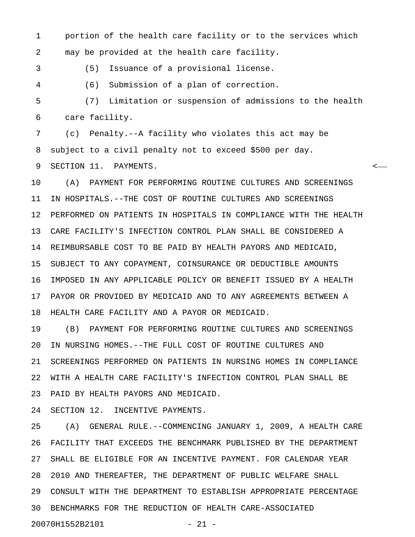1 portion of the health care facility or to the services which 2 may be provided at the health care facility.

3 (5) Issuance of a provisional license.

4 (6) Submission of a plan of correction.

5 (7) Limitation or suspension of admissions to the health 6 care facility.

7 (c) Penalty.--A facility who violates this act may be 8 subject to a civil penalty not to exceed \$500 per day.

9 SECTION 11. PAYMENTS. <

10 (A) PAYMENT FOR PERFORMING ROUTINE CULTURES AND SCREENINGS 11 IN HOSPITALS.--THE COST OF ROUTINE CULTURES AND SCREENINGS 12 PERFORMED ON PATIENTS IN HOSPITALS IN COMPLIANCE WITH THE HEALTH 13 CARE FACILITY'S INFECTION CONTROL PLAN SHALL BE CONSIDERED A 14 REIMBURSABLE COST TO BE PAID BY HEALTH PAYORS AND MEDICAID, 15 SUBJECT TO ANY COPAYMENT, COINSURANCE OR DEDUCTIBLE AMOUNTS 16 IMPOSED IN ANY APPLICABLE POLICY OR BENEFIT ISSUED BY A HEALTH 17 PAYOR OR PROVIDED BY MEDICAID AND TO ANY AGREEMENTS BETWEEN A 18 HEALTH CARE FACILITY AND A PAYOR OR MEDICAID.

19 (B) PAYMENT FOR PERFORMING ROUTINE CULTURES AND SCREENINGS 20 IN NURSING HOMES.--THE FULL COST OF ROUTINE CULTURES AND 21 SCREENINGS PERFORMED ON PATIENTS IN NURSING HOMES IN COMPLIANCE 22 WITH A HEALTH CARE FACILITY'S INFECTION CONTROL PLAN SHALL BE 23 PAID BY HEALTH PAYORS AND MEDICAID.

24 SECTION 12. INCENTIVE PAYMENTS.

25 (A) GENERAL RULE.--COMMENCING JANUARY 1, 2009, A HEALTH CARE 26 FACILITY THAT EXCEEDS THE BENCHMARK PUBLISHED BY THE DEPARTMENT 27 SHALL BE ELIGIBLE FOR AN INCENTIVE PAYMENT. FOR CALENDAR YEAR 28 2010 AND THEREAFTER, THE DEPARTMENT OF PUBLIC WELFARE SHALL 29 CONSULT WITH THE DEPARTMENT TO ESTABLISH APPROPRIATE PERCENTAGE 30 BENCHMARKS FOR THE REDUCTION OF HEALTH CARE-ASSOCIATED 20070H1552B2101 - 21 -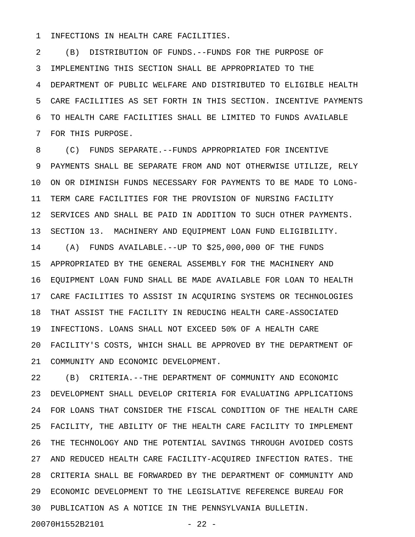1 INFECTIONS IN HEALTH CARE FACILITIES.

2 (B) DISTRIBUTION OF FUNDS.--FUNDS FOR THE PURPOSE OF 3 IMPLEMENTING THIS SECTION SHALL BE APPROPRIATED TO THE 4 DEPARTMENT OF PUBLIC WELFARE AND DISTRIBUTED TO ELIGIBLE HEALTH 5 CARE FACILITIES AS SET FORTH IN THIS SECTION. INCENTIVE PAYMENTS 6 TO HEALTH CARE FACILITIES SHALL BE LIMITED TO FUNDS AVAILABLE 7 FOR THIS PURPOSE.

8 (C) FUNDS SEPARATE.--FUNDS APPROPRIATED FOR INCENTIVE 9 PAYMENTS SHALL BE SEPARATE FROM AND NOT OTHERWISE UTILIZE, RELY 10 ON OR DIMINISH FUNDS NECESSARY FOR PAYMENTS TO BE MADE TO LONG-11 TERM CARE FACILITIES FOR THE PROVISION OF NURSING FACILITY 12 SERVICES AND SHALL BE PAID IN ADDITION TO SUCH OTHER PAYMENTS. 13 SECTION 13. MACHINERY AND EQUIPMENT LOAN FUND ELIGIBILITY. 14 (A) FUNDS AVAILABLE.--UP TO \$25,000,000 OF THE FUNDS 15 APPROPRIATED BY THE GENERAL ASSEMBLY FOR THE MACHINERY AND 16 EQUIPMENT LOAN FUND SHALL BE MADE AVAILABLE FOR LOAN TO HEALTH 17 CARE FACILITIES TO ASSIST IN ACQUIRING SYSTEMS OR TECHNOLOGIES 18 THAT ASSIST THE FACILITY IN REDUCING HEALTH CARE-ASSOCIATED 19 INFECTIONS. LOANS SHALL NOT EXCEED 50% OF A HEALTH CARE 20 FACILITY'S COSTS, WHICH SHALL BE APPROVED BY THE DEPARTMENT OF

21 COMMUNITY AND ECONOMIC DEVELOPMENT.

22 (B) CRITERIA.--THE DEPARTMENT OF COMMUNITY AND ECONOMIC 23 DEVELOPMENT SHALL DEVELOP CRITERIA FOR EVALUATING APPLICATIONS 24 FOR LOANS THAT CONSIDER THE FISCAL CONDITION OF THE HEALTH CARE 25 FACILITY, THE ABILITY OF THE HEALTH CARE FACILITY TO IMPLEMENT 26 THE TECHNOLOGY AND THE POTENTIAL SAVINGS THROUGH AVOIDED COSTS 27 AND REDUCED HEALTH CARE FACILITY-ACQUIRED INFECTION RATES. THE 28 CRITERIA SHALL BE FORWARDED BY THE DEPARTMENT OF COMMUNITY AND 29 ECONOMIC DEVELOPMENT TO THE LEGISLATIVE REFERENCE BUREAU FOR 30 PUBLICATION AS A NOTICE IN THE PENNSYLVANIA BULLETIN.

```
20070H1552B2101 - 22 -
```